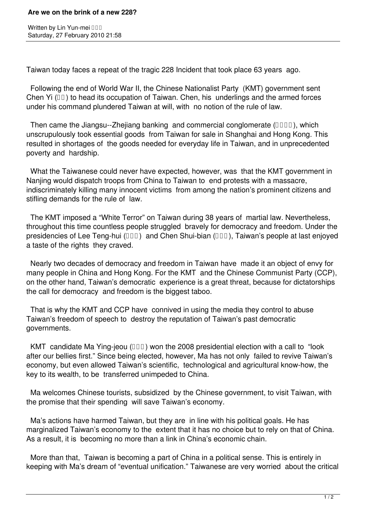## **Are we on the brink of a new 228?**

Written by Lin Yun-mei **III** Saturday, 27 February 2010 21:58

Taiwan today faces a repeat of the tragic 228 Incident that took place 63 years ago.

 Following the end of World War II, the Chinese Nationalist Party (KMT) government sent Chen Yi  $(III)$  to head its occupation of Taiwan. Chen, his underlings and the armed forces under his command plundered Taiwan at will, with no notion of the rule of law.

Then came the Jiangsu--Zhejiang banking and commercial conglomerate  $(IIIII)$ , which unscrupulously took essential goods from Taiwan for sale in Shanghai and Hong Kong. This resulted in shortages of the goods needed for everyday life in Taiwan, and in unprecedented poverty and hardship.

 What the Taiwanese could never have expected, however, was that the KMT government in Nanjing would dispatch troops from China to Taiwan to end protests with a massacre, indiscriminately killing many innocent victims from among the nation's prominent citizens and stifling demands for the rule of law.

 The KMT imposed a "White Terror" on Taiwan during 38 years of martial law. Nevertheless, throughout this time countless people struggled bravely for democracy and freedom. Under the presidencies of Lee Teng-hui  $(\Box \Box)$  and Chen Shui-bian ( $\Box \Box$ ), Taiwan's people at last enjoyed a taste of the rights they craved.

 Nearly two decades of democracy and freedom in Taiwan have made it an object of envy for many people in China and Hong Kong. For the KMT and the Chinese Communist Party (CCP), on the other hand, Taiwan's democratic experience is a great threat, because for dictatorships the call for democracy and freedom is the biggest taboo.

 That is why the KMT and CCP have connived in using the media they control to abuse Taiwan's freedom of speech to destroy the reputation of Taiwan's past democratic governments.

KMT candidate Ma Ying-jeou  $(III)$  won the 2008 presidential election with a call to "look after our bellies first." Since being elected, however, Ma has not only failed to revive Taiwan's economy, but even allowed Taiwan's scientific, technological and agricultural know-how, the key to its wealth, to be transferred unimpeded to China.

 Ma welcomes Chinese tourists, subsidized by the Chinese government, to visit Taiwan, with the promise that their spending will save Taiwan's economy.

 Ma's actions have harmed Taiwan, but they are in line with his political goals. He has marginalized Taiwan's economy to the extent that it has no choice but to rely on that of China. As a result, it is becoming no more than a link in China's economic chain.

 More than that, Taiwan is becoming a part of China in a political sense. This is entirely in keeping with Ma's dream of "eventual unification." Taiwanese are very worried about the critical